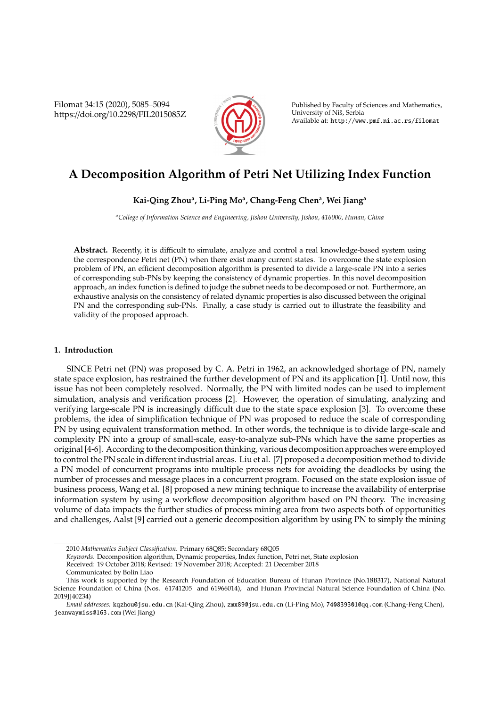Filomat 34:15 (2020), 5085–5094 https://doi.org/10.2298/FIL2015085Z



Published by Faculty of Sciences and Mathematics, University of Nis, Serbia ˇ Available at: http://www.pmf.ni.ac.rs/filomat

# **A Decomposition Algorithm of Petri Net Utilizing Index Function**

# **Kai-Qing Zhou<sup>a</sup> , Li-Ping Mo<sup>a</sup> , Chang-Feng Chen<sup>a</sup> , Wei Jiang<sup>a</sup>**

*<sup>a</sup>College of Information Science and Engineering, Jishou University, Jishou, 416000, Hunan, China*

**Abstract.** Recently, it is difficult to simulate, analyze and control a real knowledge-based system using the correspondence Petri net (PN) when there exist many current states. To overcome the state explosion problem of PN, an efficient decomposition algorithm is presented to divide a large-scale PN into a series of corresponding sub-PNs by keeping the consistency of dynamic properties. In this novel decomposition approach, an index function is defined to judge the subnet needs to be decomposed or not. Furthermore, an exhaustive analysis on the consistency of related dynamic properties is also discussed between the original PN and the corresponding sub-PNs. Finally, a case study is carried out to illustrate the feasibility and validity of the proposed approach.

## **1. Introduction**

SINCE Petri net (PN) was proposed by C. A. Petri in 1962, an acknowledged shortage of PN, namely state space explosion, has restrained the further development of PN and its application [1]. Until now, this issue has not been completely resolved. Normally, the PN with limited nodes can be used to implement simulation, analysis and verification process [2]. However, the operation of simulating, analyzing and verifying large-scale PN is increasingly difficult due to the state space explosion [3]. To overcome these problems, the idea of simplification technique of PN was proposed to reduce the scale of corresponding PN by using equivalent transformation method. In other words, the technique is to divide large-scale and complexity PN into a group of small-scale, easy-to-analyze sub-PNs which have the same properties as original [4-6]. According to the decomposition thinking, various decomposition approaches were employed to control the PN scale in different industrial areas. Liu et al. [7] proposed a decomposition method to divide a PN model of concurrent programs into multiple process nets for avoiding the deadlocks by using the number of processes and message places in a concurrent program. Focused on the state explosion issue of business process, Wang et al. [8] proposed a new mining technique to increase the availability of enterprise information system by using a workflow decomposition algorithm based on PN theory. The increasing volume of data impacts the further studies of process mining area from two aspects both of opportunities and challenges, Aalst [9] carried out a generic decomposition algorithm by using PN to simply the mining

*Keywords*. Decomposition algorithm, Dynamic properties, Index function, Petri net, State explosion

Received: 19 October 2018; Revised: 19 November 2018; Accepted: 21 December 2018

<sup>2010</sup> *Mathematics Subject Classification*. Primary 68Q85; Secondary 68Q05

Communicated by Bolin Liao

This work is supported by the Research Foundation of Education Bureau of Hunan Province (No.18B317), National Natural Science Foundation of China (Nos. 61741205 and 61966014), and Hunan Provincial Natural Science Foundation of China (No. 2019JJ40234)

*Email addresses:* kqzhou@jsu.edu.cn (Kai-Qing Zhou), zmx89@jsu.edu.cn (Li-Ping Mo), 740839301@qq.com (Chang-Feng Chen), jeanwaymiss@163.com (Wei Jiang)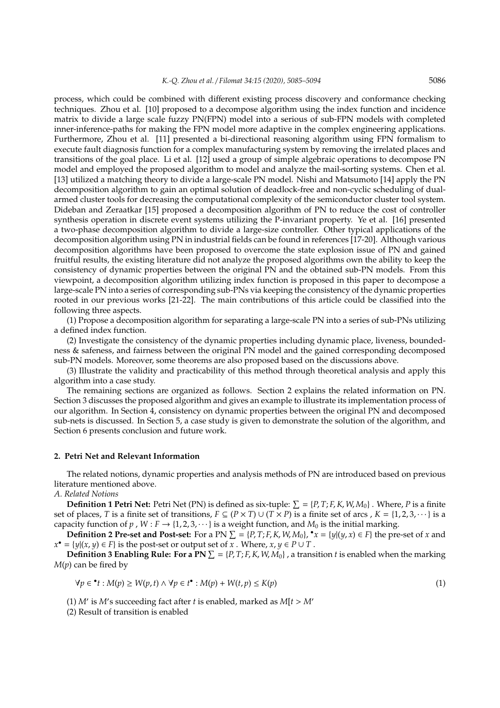process, which could be combined with different existing process discovery and conformance checking techniques. Zhou et al. [10] proposed to a decompose algorithm using the index function and incidence matrix to divide a large scale fuzzy PN(FPN) model into a serious of sub-FPN models with completed inner-inference-paths for making the FPN model more adaptive in the complex engineering applications. Furthermore, Zhou et al. [11] presented a bi-directional reasoning algorithm using FPN formalism to execute fault diagnosis function for a complex manufacturing system by removing the irrelated places and transitions of the goal place. Li et al. [12] used a group of simple algebraic operations to decompose PN model and employed the proposed algorithm to model and analyze the mail-sorting systems. Chen et al. [13] utilized a matching theory to divide a large-scale PN model. Nishi and Matsumoto [14] apply the PN decomposition algorithm to gain an optimal solution of deadlock-free and non-cyclic scheduling of dualarmed cluster tools for decreasing the computational complexity of the semiconductor cluster tool system. Dideban and Zeraatkar [15] proposed a decomposition algorithm of PN to reduce the cost of controller synthesis operation in discrete event systems utilizing the P-invariant property. Ye et al. [16] presented a two-phase decomposition algorithm to divide a large-size controller. Other typical applications of the decomposition algorithm using PN in industrial fields can be found in references [17-20]. Although various decomposition algorithms have been proposed to overcome the state explosion issue of PN and gained fruitful results, the existing literature did not analyze the proposed algorithms own the ability to keep the consistency of dynamic properties between the original PN and the obtained sub-PN models. From this viewpoint, a decomposition algorithm utilizing index function is proposed in this paper to decompose a large-scale PN into a series of corresponding sub-PNs via keeping the consistency of the dynamic properties rooted in our previous works [21-22]. The main contributions of this article could be classified into the following three aspects.

(1) Propose a decomposition algorithm for separating a large-scale PN into a series of sub-PNs utilizing a defined index function.

(2) Investigate the consistency of the dynamic properties including dynamic place, liveness, boundedness & safeness, and fairness between the original PN model and the gained corresponding decomposed sub-PN models. Moreover, some theorems are also proposed based on the discussions above.

(3) Illustrate the validity and practicability of this method through theoretical analysis and apply this algorithm into a case study.

The remaining sections are organized as follows. Section 2 explains the related information on PN. Section 3 discusses the proposed algorithm and gives an example to illustrate its implementation process of our algorithm. In Section 4, consistency on dynamic properties between the original PN and decomposed sub-nets is discussed. In Section 5, a case study is given to demonstrate the solution of the algorithm, and Section 6 presents conclusion and future work.

# **2. Petri Net and Relevant Information**

The related notions, dynamic properties and analysis methods of PN are introduced based on previous literature mentioned above.

*A. Related Notions*

**Definition 1 Petri Net:** Petri Net (PN) is defined as six-tuple:  $\sum = \{P, T; F, K, W, M_0\}$ . Where, *P* is a finite set of places, *T* is a finite set of transitions,  $F \subseteq (P \times T) \cup (T \times P)$  is a finite set of arcs,  $K = \{1, 2, 3, \dots\}$  is a capacity function of *p* , *W* : *F*  $\rightarrow$  {1, 2, 3,  $\cdots$ } is a weight function, and *M*<sub>0</sub> is the initial marking.

**Definition 2 Pre-set and Post-set:** For a PN  $\Sigma = \{P, T, F, K, W, M_0\}$ ,  $\mathbf{r} = \{y | (y, x) \in F\}$  the pre-set of *x* and *x*<sup>∙</sup> = {*y*|(*x*, *y*) ∈ *F*} is the post-set or output set of *x*. Where, *x*, *y* ∈ *P* ∪ *T*.

**Definition 3 Enabling Rule: For a PN**  $\Sigma = \{P, T, F, K, W, M_0\}$ , a transition *t* is enabled when the marking *M*(*p*) can be fired by

$$
\forall p \in \mathbf{L} : M(p) \ge W(p, t) \land \forall p \in t^{\bullet} : M(p) + W(t, p) \le K(p)
$$
\n
$$
(1)
$$

(1)  $M'$  is  $M'$ s succeeding fact after *t* is enabled, marked as  $M[t > M'$ 

(2) Result of transition is enabled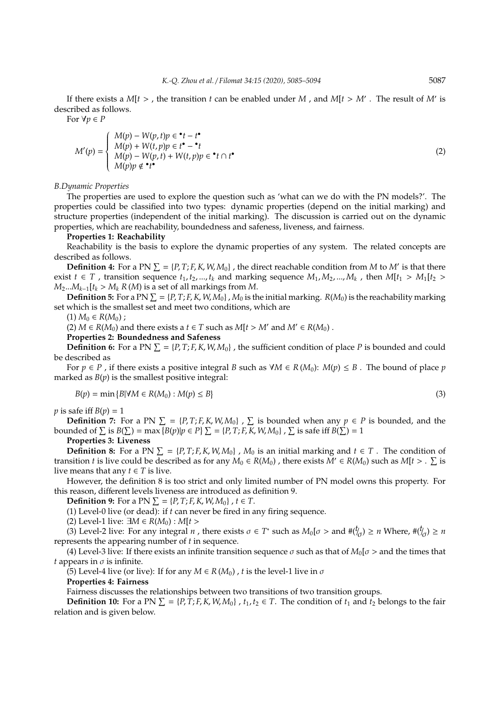If there exists a  $M[t >$ , the transition *t* can be enabled under  $M$ , and  $M[t > M']$ . The result of  $M'$  is described as follows.

For  $\forall p \in P$ 

$$
M'(p) = \begin{cases} M(p) - W(p, t)p \in \mathbf{t} - t^{\bullet} \\ M(p) + W(t, p)p \in t^{\bullet} - \mathbf{t} \\ M(p) - W(p, t) + W(t, p)p \in \mathbf{t} \cap t^{\bullet} \\ M(p)p \notin \mathbf{t}^{\bullet} \end{cases}
$$
 (2)

#### *B.Dynamic Properties*

The properties are used to explore the question such as 'what can we do with the PN models?'. The properties could be classified into two types: dynamic properties (depend on the initial marking) and structure properties (independent of the initial marking). The discussion is carried out on the dynamic properties, which are reachability, boundedness and safeness, liveness, and fairness.

## **Properties 1: Reachability**

Reachability is the basis to explore the dynamic properties of any system. The related concepts are described as follows.

**Definition 4:** For a PN  $\Sigma = \{P, T; F, K, W, M_0\}$ , the direct reachable condition from *M* to *M'* is that there exist *t* ∈ *T*, transition sequence  $t_1, t_2, ..., t_k$  and marking sequence  $M_1, M_2, ..., M_k$ , then  $M[t_1 > M_1[t_2 >$  $M_2...M_{k-1}[t_k > M_k R(M)$  is a set of all markings from *M*.

**Definition 5:** For a PN  $\Sigma = \{P, T; F, K, W, M_0\}$  ,  $M_0$  is the initial marking.  $R(M_0)$  is the reachability marking set which is the smallest set and meet two conditions, which are

 $(1) M_0 \in R(M_0)$ ;

(2)  $M \in R(M_0)$  and there exists a  $t \in T$  such as  $M[t > M'$  and  $M' \in R(M_0)$ .

**Properties 2: Boundedness and Safeness**

**Definition 6:** For a PN  $\Sigma = \{P, T; F, K, W, M_0\}$ , the sufficient condition of place P is bounded and could be described as

For  $p \in P$ , if there exists a positive integral *B* such as  $\forall M \in R(M_0): M(p) \leq B$ . The bound of place *p* marked as  $B(p)$  is the smallest positive integral:

$$
B(p) = \min \{ B | \forall M \in R(M_0) : M(p) \le B \}
$$
\n<sup>(3)</sup>

*p* is safe iff  $B(p) = 1$ 

**Definition** 7: For a PN  $\Sigma = \{P, T; F, K, W, M_0\}$ ,  $\Sigma$  is bounded when any  $p \in P$  is bounded, and the bounded of  $\sum$  is  $B(\sum) = \max\{B(p)|p \in P\}$   $\sum = \{P, T; F, K, W, M_0\}$  ,  $\sum$  is safe iff  $B(\sum) = 1$ 

# **Properties 3: Liveness**

**Definition 8:** For a PN  $\Sigma = \{P, T; F, K, W, M_0\}$ ,  $M_0$  is an initial marking and  $t \in T$ . The condition of transition *t* is live could be described as for any  $M_0 \in R(M_0)$  , there exists  $M' \in R(M_0)$  such as  $M[t > 0.1]$  is live means that any  $t \in T$  is live.

However, the definition 8 is too strict and only limited number of PN model owns this property. For this reason, different levels liveness are introduced as definition 9.

**Definition 9:** For a PN  $\Sigma = \{P, T; F, K, W, M_0\}$ ,  $t \in T$ .

(1) Level-0 live (or dead): if *t* can never be fired in any firing sequence.

(2) Level-1 live:  $\exists M \in R(M_0) : M[t >$ 

(3) Level-2 live: For any integral *n*, there exists  $\sigma \in T^*$  such as  $M_0[\sigma >$  and  $\#(\eta) \ge n$  Where,  $\#(\eta) \ge n$ represents the appearing number of *t* in sequence.

(4) Level-3 live: If there exists an infinite transition sequence  $\sigma$  such as that of  $M_0[\sigma >$  and the times that *t* appears in  $\sigma$  is infinite.

(5) Level-4 live (or live): If for any  $M \in R(M_0)$ , *t* is the level-1 live in  $\sigma$ 

#### **Properties 4: Fairness**

Fairness discusses the relationships between two transitions of two transition groups.

**Definition 10:** For a PN  $\Sigma = \{P, T; F, K, W, M_0\}$ ,  $t_1, t_2 \in T$ . The condition of  $t_1$  and  $t_2$  belongs to the fair relation and is given below.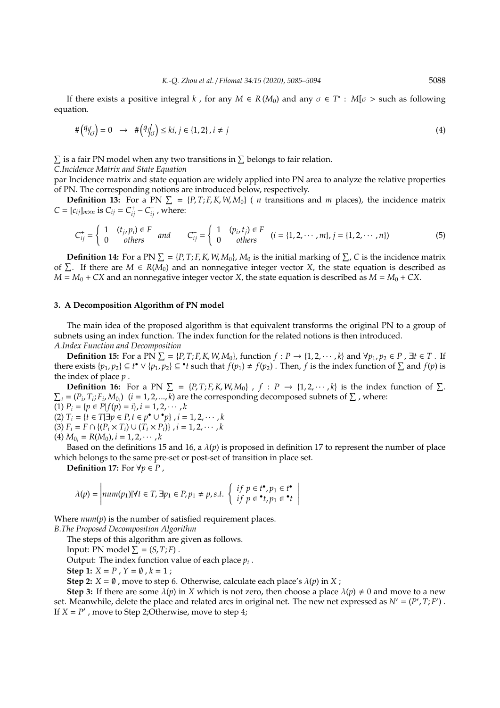If there exists a positive integral *k*, for any  $M \in R(M_0)$  and any  $\sigma \in T^*$ :  $M[\sigma > \text{such as following}]$ equation.

$$
\#(\mathcal{G}/\mathcal{J}) = 0 \quad \to \quad \#(\mathcal{G}/\mathcal{J}) \le ki, \, j \in \{1, 2\}, \, i \neq j \tag{4}
$$

 $\Sigma$  is a fair PN model when any two transitions in  $\Sigma$  belongs to fair relation.

*C.Incidence Matrix and State Equation*

par Incidence matrix and state equation are widely applied into PN area to analyze the relative properties of PN. The corresponding notions are introduced below, respectively.

**Definition 13:** For a PN  $\Sigma = {P, T; F, K, W, M_0}$  (*n* transitions and *m* places), the incidence matrix *C* =  $[c_{ij}]_{m \times n}$  is  $C_{ij} = C_{ij}^{+} - C_{ij}^{-}$ , where:

$$
C_{ij}^{+} = \begin{cases} 1 & (t_j, p_i) \in F \\ 0 & \text{others} \end{cases} \quad \text{and} \quad C_{ij}^{-} = \begin{cases} 1 & (p_i, t_j) \in F \\ 0 & \text{others} \end{cases} \quad (i = \{1, 2, \cdots, m\}, j = \{1, 2, \cdots, n\})
$$

**Definition 14:** For a PN  $\Sigma = \{P, T; F, K, W, M_0\}$ ,  $M_0$  is the initial marking of  $\Sigma$ , *C* is the incidence matrix of  $\Sigma$ . If there are  $M \in R(M_0)$  and an nonnegative integer vector X, the state equation is described as  $M = M_0 + CX$  and an nonnegative integer vector *X*, the state equation is described as  $M = M_0 + CX$ .

#### **3. A Decomposition Algorithm of PN model**

The main idea of the proposed algorithm is that equivalent transforms the original PN to a group of subnets using an index function. The index function for the related notions is then introduced. *A.Index Function and Decomposition*

**Definition 15:** For a PN  $\Sigma = \{P, T; F, K, W, M_0\}$ , function  $f: P \to \{1, 2, \dots, k\}$  and  $\forall p_1, p_2 \in P$ ,  $\exists t \in T$ . If there exists  $\{p_1, p_2\} \subseteq t^{\bullet} \vee \{p_1, p_2\} \subseteq {\bullet} t$  such that  $f(p_1) \neq f(p_2)$ . Then, *f* is the index function of  $\Sigma$  and  $f(p)$  is the index of place *p* .

**Definition 16:** For a PN  $\Sigma = \{P, T; F, K, W, M_0\}$ ,  $f : P \rightarrow \{1, 2, \dots, k\}$  is the index function of  $\Sigma$ .  $\Sigma_i = (P_i, T_i; F_i, M_{0_i})$  (*i* = 1, 2, ..., *k*) are the corresponding decomposed subnets of  $\Sigma$ , where:  $(1)$   $P_i = \{p \in P | f(p) = i\}, i = 1, 2, \cdots, k\}$  $(2) T_i = {t \in T | \exists p \in P, t \in p^{\bullet} \cup {^{\bullet}p} }, i = 1, 2, \cdots, k$  $(3)$   $F_i = F \cap \{(P_i \times T_i) \cup (T_i \times P_i)\}, i = 1, 2, \dots, k$ 

 $(4) M_{0_i} = R(M_0), i = 1, 2, \cdots, k$ 

Based on the definitions 15 and 16, a  $\lambda(p)$  is proposed in definition 17 to represent the number of place which belongs to the same pre-set or post-set of transition in place set.

**Definition 17:** For  $\forall p \in P$ ,

$$
\lambda(p) = \left| num(p_1) | \forall t \in T, \exists p_1 \in P, p_1 \neq p, s.t. \begin{cases} if \ p \in t^{\bullet}, p_1 \in t^{\bullet} \\ if \ p \in \bullet t, p_1 \in \bullet t \end{cases} \right|
$$

Where  $num(p)$  is the number of satisfied requirement places.

*B.The Proposed Decomposition Algorithm*

The steps of this algorithm are given as follows.

Input: PN model  $\Sigma = (S, T; F)$ .

Output: The index function value of each place *p<sup>i</sup>* .

**Step 1:**  $X = P$ ,  $Y = \emptyset$ ,  $k = 1$ ;

**Step 2:**  $X = \emptyset$ , move to step 6. Otherwise, calculate each place's  $\lambda(p)$  in  $X$ ;

**Step 3:** If there are some  $\lambda(p)$  in *X* which is not zero, then choose a place  $\lambda(p) \neq 0$  and move to a new set. Meanwhile, delete the place and related arcs in original net. The new net expressed as  $N' = (P', T; F')$ . If  $X = P'$ , move to Step 2;Otherwise, move to step 4;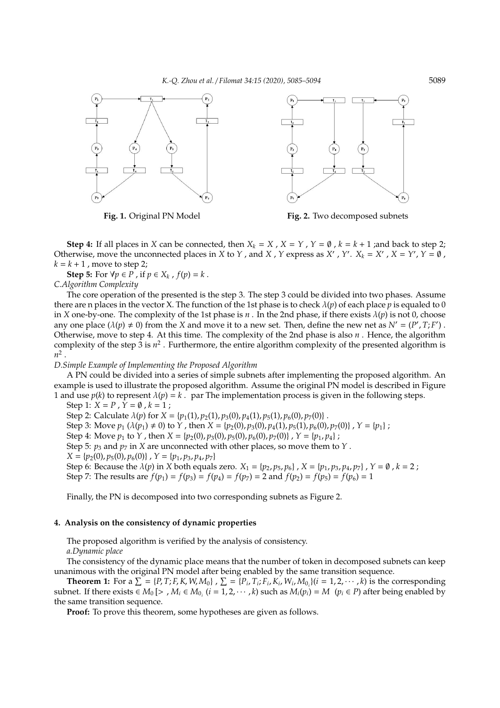*K.-Q. Zhou et al.* / *Filomat 34:15 (2020), 5085–5094* 5089



**Fig. 1.** Original PN Model **Fig. 2.** Two decomposed subnets

**Step 4:** If all places in *X* can be connected, then  $X_k = X$ ,  $X = Y$ ,  $Y = \emptyset$ ,  $k = k + 1$ ; and back to step 2; Otherwise, move the unconnected places in *X* to *Y*, and *X*, *Y* express as *X'*, *Y'*. *X<sub>k</sub>* = *X'*, *X* = *Y'*, *Y* =  $\emptyset$ ,  $k = k + 1$ , move to step 2;

**Step 5:** For  $\forall p \in P$ , if  $p \in X_k$ ,  $f(p) = k$ .

*C.Algorithm Complexity*

The core operation of the presented is the step 3. The step 3 could be divided into two phases. Assume there are n places in the vector X. The function of the 1st phase is to check  $\lambda(p)$  of each place p is equaled to 0 in *X* one-by-one. The complexity of the 1st phase is *n* . In the 2nd phase, if there exists  $\lambda(p)$  is not 0, choose any one place ( $\lambda(p) \neq 0$ ) from the *X* and move it to a new set. Then, define the new net as  $N' = (P', T; F')$ . Otherwise, move to step 4. At this time. The complexity of the 2nd phase is also *n* . Hence, the algorithm complexity of the step 3 is  $n^2$ . Furthermore, the entire algorithm complexity of the presented algorithm is  $n^2$ .

## *D.Simple Example of Implementing the Proposed Algorithm*

A PN could be divided into a series of simple subnets after implementing the proposed algorithm. An example is used to illustrate the proposed algorithm. Assume the original PN model is described in Figure 1 and use  $p(k)$  to represent  $\lambda(p) = k$ . par The implementation process is given in the following steps.

Step 1:  $X = P$ ,  $Y = \emptyset$ ,  $k = 1$ ;

Step 2: Calculate  $\lambda(p)$  for  $X = \{p_1(1), p_2(1), p_3(0), p_4(1), p_5(1), p_6(0), p_7(0)\}$ .

Step 3: Move  $p_1$  ( $\lambda(p_1) \neq 0$ ) to *Y*, then  $X = \{p_2(0), p_3(0), p_4(1), p_5(1), p_6(0), p_7(0)\}$ ,  $Y = \{p_1\}$ ;

Step 4: Move  $p_1$  to *Y*, then  $X = \{p_2(0), p_3(0), p_5(0), p_6(0), p_7(0)\}\;$ ,  $Y = \{p_1, p_4\}$ ;

Step 5:  $p_3$  and  $p_7$  in *X* are unconnected with other places, so move them to *Y*.

 $X = \{p_2(0), p_5(0), p_6(0)\}, Y = \{p_1, p_3, p_4, p_7\}$ 

Step 6: Because the  $\lambda(p)$  in *X* both equals zero.  $X_1 = \{p_2, p_5, p_6\}$ ,  $X = \{p_1, p_3, p_4, p_7\}$ ,  $Y = \emptyset$ ,  $k = 2$ ; Step 7: The results are  $f(p_1) = f(p_3) = f(p_4) = f(p_7) = 2$  and  $f(p_2) = f(p_5) = f(p_6) = 1$ 

Finally, the PN is decomposed into two corresponding subnets as Figure 2.

## **4. Analysis on the consistency of dynamic properties**

The proposed algorithm is verified by the analysis of consistency.

*a.Dynamic place*

The consistency of the dynamic place means that the number of token in decomposed subnets can keep unanimous with the original PN model after being enabled by the same transition sequence.

**Theorem 1:** For a  $\sum$  = {*P*,*T*;*F*,*K*,*W*,*M*<sub>0</sub>},  $\sum$  = {*P*<sub>i</sub>,*T*<sub>i</sub>;*F*<sub>i</sub>,*K*<sub>i</sub>,*W*<sub>i</sub>,*M*<sub>0<sub>i</sub></sub>}(*i* = 1,2,…,*k*) is the corresponding subnet. If there exists  $\in M_0$  [> ,  $M_i \in M_{0_i}$  ( $i = 1, 2, \cdots, k$ ) such as  $M_i(p_i) = M$  ( $p_i \in P$ ) after being enabled by the same transition sequence.

**Proof:** To prove this theorem, some hypotheses are given as follows.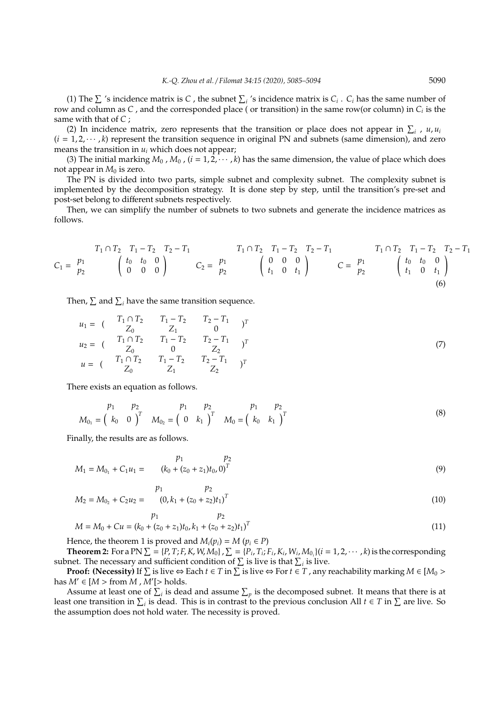(1) The  $\Sigma$  's incidence matrix is *C*, the subnet  $\Sigma_i$  's incidence matrix is  $C_i$ .  $C_i$  has the same number of row and column as *C* , and the corresponded place ( or transition) in the same row(or column) in *C<sup>i</sup>* is the same with that of *C* ;

(2) In incidence matrix, zero represents that the transition or place does not appear in  $\sum_i$ , *u*, *u*<sub>*i*</sub>  $(i = 1, 2, \dots, k)$  represent the transition sequence in original PN and subnets (same dimension), and zero means the transition in *u<sup>i</sup>* which does not appear;

(3) The initial marking  $M_0$ ,  $M_0$ ,  $(i = 1, 2, \dots, k)$  has the same dimension, the value of place which does not appear in  $M_0$  is zero.

The PN is divided into two parts, simple subnet and complexity subnet. The complexity subnet is implemented by the decomposition strategy. It is done step by step, until the transition's pre-set and post-set belong to different subnets respectively.

Then, we can simplify the number of subnets to two subnets and generate the incidence matrices as follows.

$$
C_1 = \begin{array}{c} p_1 \\ p_2 \end{array} \qquad \begin{pmatrix} t_0 & t_0 & 0 \\ 0 & 0 & 0 \end{pmatrix} \qquad C_2 = \begin{array}{c} p_1 \\ p_2 \end{array} \qquad \begin{pmatrix} 0 & 0 & 0 \\ t_1 & 0 & t_1 \end{pmatrix} \qquad C = \begin{array}{c} p_1 \\ p_2 \end{array} \qquad \begin{pmatrix} t_0 & t_0 & 0 \\ 0 & 0 & 0 \end{pmatrix}
$$

Then,  $\sum$  and  $\sum$ <sub>*i*</sub> have the same transition sequence.

$$
u_1 = \begin{pmatrix} T_1 \cap T_2 & T_1 - T_2 & T_2 - T_1 \\ Z_0 & Z_1 & 0 \end{pmatrix}^T
$$
  
\n
$$
u_2 = \begin{pmatrix} T_1 \cap T_2 & T_1 - T_2 & T_2 - T_1 \\ Z_0 & 0 & Z_2 \end{pmatrix}^T
$$
  
\n
$$
u = \begin{pmatrix} T_1 \cap T_2 & T_1 - T_2 & T_2 - T_1 \\ Z_0 & Z_1 & Z_2 \end{pmatrix}^T
$$
  
\n(7)

There exists an equation as follows.

$$
M_{0_1} = \begin{pmatrix} p_1 & p_2 & p_1 & p_2 & p_1 & p_2 \\ k_0 & 0 & 0 & M_{0_2} & = \begin{pmatrix} 0 & k_1 & 0 \end{pmatrix}^T & M_0 = \begin{pmatrix} k_0 & k_1 & 0 \end{pmatrix}^T \end{pmatrix} \tag{8}
$$

Finally, the results are as follows.

$$
M_1 = M_{0_1} + C_1 u_1 = \begin{pmatrix} p_1 & p_2 \\ (k_0 + (z_0 + z_1)t_0, 0)^T \end{pmatrix}
$$
 (9)

$$
M_2 = M_{0_2} + C_2 u_2 = \begin{cases} p_1 & p_2 \\ (0, k_1 + (z_0 + z_2)t_1)^T \end{cases} \tag{10}
$$

$$
p_1 \t p_2
$$
  
 
$$
M = M_0 + Cu = (k_0 + (z_0 + z_1)t_0, k_1 + (z_0 + z_2)t_1)^T
$$
 (11)

Hence, the theorem 1 is proved and  $M_i(p_i) = M (p_i \in P)$ 

**Theorem 2:** For a PN  $\Sigma = \{P, T; F, K, W, M_0\}$ ,  $\Sigma = \{P_i, T_i; F_i, K_i, W_i, M_{0_i}\}$   $(i = 1, 2, \dots, k)$  is the corresponding subnet. The necessary and sufficient condition of  $\sum$  is live is that  $\sum_i$  is live.

**Proof: (Necessity)** If  $\sum$  is live ⇔ Each  $t \in T$  in  $\sum$  is live ⇔ For  $t \in T$  , any reachability marking  $M \in [M_0 >$ has  $M' \in [M > \text{from } M, M'] > \text{holds}.$ 

Assume at least one of  $\sum_i$  is dead and assume  $\sum_p$  is the decomposed subnet. It means that there is at least one transition in  $\sum_i$  is dead. This is in contrast to the previous conclusion All  $t \in T$  in  $\sum$  are live. So the assumption does not hold water. The necessity is proved.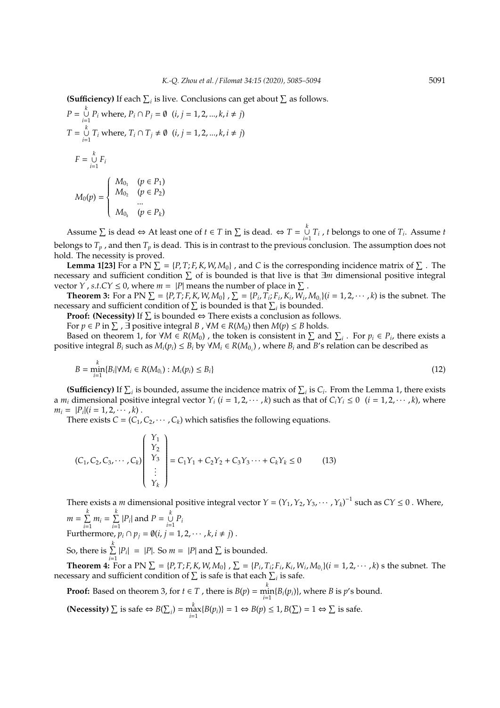**(Sufficiency)** If each  $\sum_i$  is live. Conclusions can get about  $\sum$  as follows.

$$
P = \bigcup_{i=1}^{k} P_i \text{ where, } P_i \cap P_j = \emptyset \quad (i, j = 1, 2, ..., k, i \neq j)
$$
  
\n
$$
T = \bigcup_{i=1}^{k} T_i \text{ where, } T_i \cap T_j \neq \emptyset \quad (i, j = 1, 2, ..., k, i \neq j)
$$
  
\n
$$
F = \bigcup_{i=1}^{k} F_i
$$
  
\n
$$
M_0(p) = \begin{cases} M_{0_1} & (p \in P_1) \\ M_{0_2} & (p \in P_2) \\ ... \\ M_{0_k} & (p \in P_k) \end{cases}
$$

Assume  $\sum$  is dead  $\Leftrightarrow$  At least one of  $t \in T$  in  $\sum$  is dead.  $\Leftrightarrow T = \bigcup_{k=1}^{k} T_k$  $\bigcup_{i=1}$  *T*<sub>*i*</sub>, *t* belongs to one of *T*<sub>*i*</sub>. Assume *t* belongs to  $T_p$ , and then  $T_p$  is dead. This is in contrast to the previous conclusion. The assumption does not hold. The necessity is proved.

**Lemma 1[23]** For a PN  $\Sigma = \{P, T; F, K, W, M_0\}$ , and *C* is the corresponding incidence matrix of  $\Sigma$ . The necessary and sufficient condition  $\Sigma$  of is bounded is that live is that ∃m dimensional positive integral vector *Y*, *s.t.CY*  $\leq$  0, where  $m = |P|$  means the number of place in  $\Sigma$ .

**Theorem 3:** For a PN  $\Sigma = \{P, T; F, K, W, M_0\}$ ,  $\Sigma = \{P_i, T_i; F_i, K_i, W_i, M_{0_i}\}$   $(i = 1, 2, \dots, k)$  is the subnet. The necessary and sufficient condition of  $\Sigma$  is bounded is that  $\Sigma_i$  is bounded.

**Proof: (Necessity)** If  $\Sigma$  is bounded  $\Leftrightarrow$  There exists a conclusion as follows.

For  $p \in P$  in  $\sum$  ,  $\exists$  positive integral  $B$  ,  $\forall M \in R(M_0)$  then  $M(p) \leq B$  holds.

Based on theorem 1, for  $\forall M \in R(M_0)$ , the token is consistent in  $\sum$  and  $\sum_i$ . For  $p_i \in P_i$ , there exists a positive integral  $B_i$  such as  $M_i(p_i) \leq B_i$  by  $\forall M_i \in R(M_{0_i})$ , where  $B_i$  and  $B'$ s relation can be described as

$$
B = \min_{i=1}^{k} \{ B_i | \forall M_i \in R(M_{0_i}) : M_i(p_i) \leq B_i \}
$$
\n(12)

**(Sufficiency)** If  $\sum_i$  is bounded, assume the incidence matrix of  $\sum_i$  is  $C_i$ . From the Lemma 1, there exists a  $m_i$  dimensional positive integral vector  $Y_i$  ( $i = 1, 2, \dots, k$ ) such as that of  $C_i Y_i \le 0$  ( $i = 1, 2, \dots, k$ ), where  $m_i = |P_i|(i = 1, 2, \dots, k)$ .

There exists  $C = (C_1, C_2, \dots, C_k)$  which satisfies the following equations.

$$
(C_1, C_2, C_3, \cdots, C_k) \begin{pmatrix} Y_1 \\ Y_2 \\ Y_3 \\ \vdots \\ Y_k \end{pmatrix} = C_1 Y_1 + C_2 Y_2 + C_3 Y_3 \cdots + C_k Y_k \le 0 \qquad (13)
$$

There exists a *m* dimensional positive integral vector  $Y = (Y_1, Y_2, Y_3, \cdots, Y_k)^{-1}$  such as  $CY \le 0$ . Where,  $m = \sum_{k=1}^{k}$  $\sum_{i=1}^{k} m_i = \sum_{i=1}^{k}$  $\sum_{i=1}^{k} |P_i|$  and  $P = \bigcup_{i=1}^{k}$  $\bigcup_{i=1}$   $P_i$ Furthermore,  $p_i \cap p_j = \emptyset (i, j = 1, 2, \cdots, k, i \neq j)$ . So, there is  $\sum\limits^k$  $\sum_{i=1}^{n} |P_i| = |P|$ . So  $m = |P|$  and  $\sum$  is bounded.

**Theorem 4:** For a PN  $\Sigma = \{P, T; F, K, W, M_0\}$ ,  $\Sigma = \{P_i, T_i; F_i, K_i, W_i, M_{0_i}\}$   $(i = 1, 2, \dots, k)$  s the subnet. The necessary and sufficient condition of  $\sum$  is safe is that each  $\sum_i$  is safe.

**Proof:** Based on theorem 3, for  $t \in T$  , there is  $B(p) = \min_{i=1}^{k} \{B_i(p_i)\}\)$ , where *B* is *p*'s bound.

**(Necessity)**  $\sum$  is safe ⇔  $B(\sum_i) = \max_{i=1}^k {B(p_i)} = 1$  ⇔  $B(p) \le 1$ ,  $B(\sum) = 1$  ⇔  $\sum$  is safe.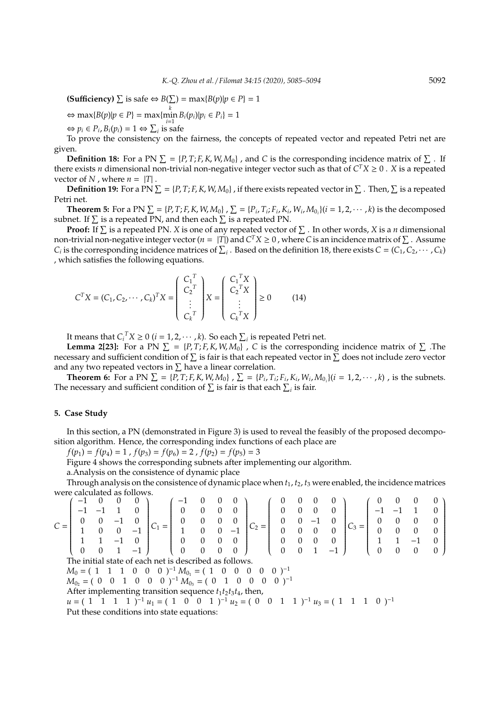**(Sufficiency)**  $\sum$  is safe  $\Leftrightarrow B(\sum) = \max{B(p)|p \in P} = 1$ 

 $\Leftrightarrow$  max{*B*(*p*)|*p* ∈ *P*} = max{ $\min_{i=1}^{k} B_i(p_i)|p_i ∈ P_i} = 1$ 

 $\Leftrightarrow$   $p_i \in P_i$ ,  $B_i(p_i) = 1 \Leftrightarrow \sum_i$  is safe

To prove the consistency on the fairness, the concepts of repeated vector and repeated Petri net are given.

**Definition 18:** For a PN  $\Sigma = \{P, T; F, K, W, M_0\}$ , and *C* is the corresponding incidence matrix of  $\Sigma$ . If there exists *n* dimensional non-trivial non-negative integer vector such as that of  $C^T X \geq 0$ . *X* is a repeated vector of *N* , where  $n = |T|$ .

**Definition 19:** For a PN  $\Sigma = \{P, T; F, K, W, M_0\}$ , if there exists repeated vector in  $\Sigma$ . Then,  $\Sigma$  is a repeated Petri net.

**Theorem 5:** For a PN  $\Sigma = \{P, T; F, K, W, M_0\}$ ,  $\Sigma = \{P_i, T_i; F_i, K_i, W_i, M_{0_i}\}$   $(i = 1, 2, \dots, k)$  is the decomposed subnet. If  $\Sigma$  is a repeated PN, and then each  $\Sigma$  is a repeated PN.

**Proof:** If  $\Sigma$  is a repeated PN. *X* is one of any repeated vector of  $\Sigma$  . In other words, *X* is a *n* dimensional non-trivial non-negative integer vector ( $n = |T|$ ) and  $C^T X \ge 0$  , where C is an incidence matrix of  $\Sigma$  . Assume *C*<sub>*i*</sub> is the corresponding incidence matrices of  $\sum_i$ . Based on the definition 18, there exists *C* = (*C*<sub>1</sub>,*C*<sub>2</sub>, · · · , *C*<sub>*k*</sub>) , which satisfies the following equations.

$$
C^{T}X = (C_{1}, C_{2}, \cdots, C_{k})^{T}X = \begin{pmatrix} C_{1}^{T} \\ C_{2}^{T} \\ \vdots \\ C_{k}^{T} \end{pmatrix} X = \begin{pmatrix} C_{1}^{T}X \\ C_{2}^{T}X \\ \vdots \\ C_{k}^{T}X \end{pmatrix} \ge 0
$$
 (14)

It means that  $C_i^T X \geq 0$   $(i = 1, 2, \cdots, k)$ . So each  $\sum_i$  is repeated Petri net.

**Lemma 2[23]:** For a PN  $\Sigma = \{P, T; F, K, W, M_0\}$ , C is the corresponding incidence matrix of  $\Sigma$ . The necessary and sufficient condition of  $\Sigma$  is fair is that each repeated vector in  $\Sigma$  does not include zero vector and any two repeated vectors in  $\Sigma$  have a linear correlation.

**Theorem 6:** For a PN  $\Sigma = \{P, T; F, K, W, M_0\}$ ,  $\Sigma = \{P_i, T_i; F_i, K_i, W_i, M_{0_i}\}$   $(i = 1, 2, \dots, k)$ , is the subnets. The necessary and sufficient condition of  $\sum$  is fair is that each  $\sum_i$  is fair.

### **5. Case Study**

In this section, a PN (demonstrated in Figure 3) is used to reveal the feasibly of the proposed decomposition algorithm. Hence, the corresponding index functions of each place are

 $f(p_1) = f(p_4) = 1$ ,  $f(p_3) = f(p_6) = 2$ ,  $f(p_2) = f(p_5) = 3$ 

Figure 4 shows the corresponding subnets after implementing our algorithm.

a.Analysis on the consistence of dynamic place

Through analysis on the consistence of dynamic place when  $t_1$ ,  $t_2$ ,  $t_3$  were enabled, the incidence matrices were calculated as follows.<br>  $\begin{pmatrix} -1 & 0 & 0 & 0 \end{pmatrix}$ 

|                                                                                                  |          |  |  |      |                                                               |          | 0        |  |          |                              |  |          |                 |          |  |              |   |          |  |
|--------------------------------------------------------------------------------------------------|----------|--|--|------|---------------------------------------------------------------|----------|----------|--|----------|------------------------------|--|----------|-----------------|----------|--|--------------|---|----------|--|
|                                                                                                  |          |  |  |      |                                                               | 0        | 0        |  |          |                              |  |          |                 | $\Omega$ |  |              |   |          |  |
|                                                                                                  |          |  |  | $-1$ |                                                               |          |          |  | $-1$     |                              |  |          |                 |          |  | 0            |   |          |  |
|                                                                                                  |          |  |  |      |                                                               |          | 0        |  |          |                              |  |          |                 |          |  |              |   |          |  |
|                                                                                                  | $\Omega$ |  |  | $-1$ |                                                               | $\Omega$ | $\theta$ |  | $\Omega$ |                              |  | $\Omega$ |                 |          |  | 0            | 0 | $\Omega$ |  |
| The initial state of each net is described as follows.                                           |          |  |  |      |                                                               |          |          |  |          |                              |  |          |                 |          |  |              |   |          |  |
| $M_0 = (1 \ 1 \ 1 \ 0 \ 0 \ 0)^{-1} M_{0_1} = (1 \ 0 \ 0$<br>$0 \t 0 \t -1$<br>$\overline{0}$    |          |  |  |      |                                                               |          |          |  |          |                              |  |          |                 |          |  |              |   |          |  |
| 1 0 0 0 $^{-1} M_{0_3} = (0 \ 1 \ 0 \$<br>$0\quad 0$<br>$(0)$ <sup>-1</sup><br>$M_{02} = (0 \ 0$ |          |  |  |      |                                                               |          |          |  |          |                              |  |          |                 |          |  |              |   |          |  |
|                                                                                                  |          |  |  |      | After implementing transition sequence $t_1t_2t_3t_4$ , then, |          |          |  |          |                              |  |          |                 |          |  |              |   |          |  |
|                                                                                                  | $u = (1$ |  |  |      |                                                               |          |          |  |          | 0 1 $^{-1} u_2 = (0 \ 0 \ 1$ |  |          | 1 $^{-1}$ $u_3$ |          |  | $0$ $)^{-1}$ |   |          |  |

Put these conditions into state equations: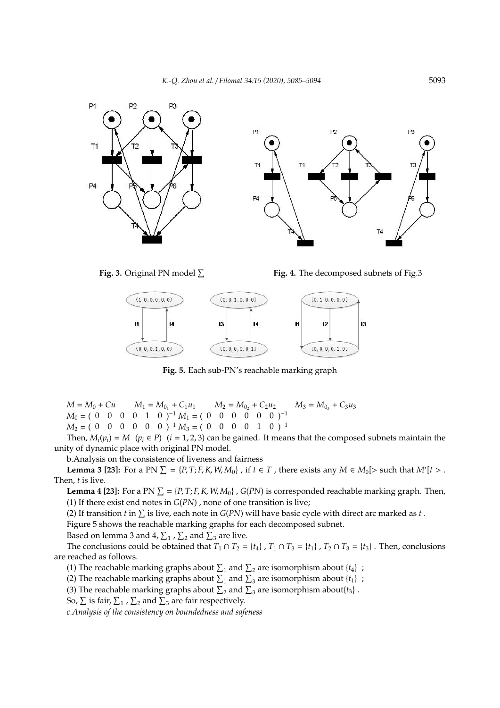



**Fig. 4.** The decomposed subnets of Fig.3



**Fig. 5.** Each sub-PN's reachable marking graph

 $M = M_0 + Cu$   $M_1 = M_{0_1} + C_1 u_1$   $M_2 = M_{0_2} + C_2 u_2$   $M_3 = M_{0_3} + C_3 u_3$  $M_0 = (0 \ 0 \ 0 \ 0 \ 1 \ 0)^{-1} M_1 = (0 \ 0 \ 0 \ 0 \ 0 \ 0)^{-1}$  $M_2 = (0 \ 0 \ 0 \ 0 \ 0 \ 0)^{-1} M_3 = (0 \ 0 \ 0 \ 0 \ 1 \ 0)^{-1}$ 

Then,  $M_i(p_i) = M$  ( $p_i \in P$ ) ( $i = 1, 2, 3$ ) can be gained. It means that the composed subnets maintain the unity of dynamic place with original PN model.

b.Analysis on the consistence of liveness and fairness

**Lemma 3 [23]:** For a PN  $\Sigma = \{P, T; F, K, W, M_0\}$ , if  $t \in T$ , there exists any  $M \in M_0$  [> such that  $M'[t > 0]$ . Then, *t* is live.

**Lemma 4 [23]:** For a PN  $\Sigma = \{P, T; F, K, W, M_0\}$ ,  $G(PN)$  is corresponded reachable marking graph. Then, (1) If there exist end notes in *G*(*PN*) , none of one transition is live;

(2) If transition *t* in  $\Sigma$  is live, each note in  $G(PN)$  will have basic cycle with direct arc marked as *t*.

Figure 5 shows the reachable marking graphs for each decomposed subnet.

Based on lemma 3 and 4,  $\Sigma_1$  ,  $\Sigma_2$  and  $\Sigma_3$  are live.

The conclusions could be obtained that  $T_1 \cap T_2 = \{t_4\}$ ,  $T_1 \cap T_3 = \{t_1\}$ ,  $T_2 \cap T_3 = \{t_3\}$ . Then, conclusions are reached as follows.

(1) The reachable marking graphs about  $\Sigma_1$  and  $\Sigma_2$  are isomorphism about  $\{t_4\}$ ;

(2) The reachable marking graphs about  $\Sigma_1$  and  $\Sigma_3$  are isomorphism about  $\{t_1\}$ ;

(3) The reachable marking graphs about  $\Sigma_2$  and  $\Sigma_3$  are isomorphism about $\{t_3\}$ .

So,  $\Sigma$  is fair,  $\Sigma_1$  ,  $\Sigma_2$  and  $\Sigma_3$  are fair respectively.

*c.Analysis of the consistency on boundedness and safeness*